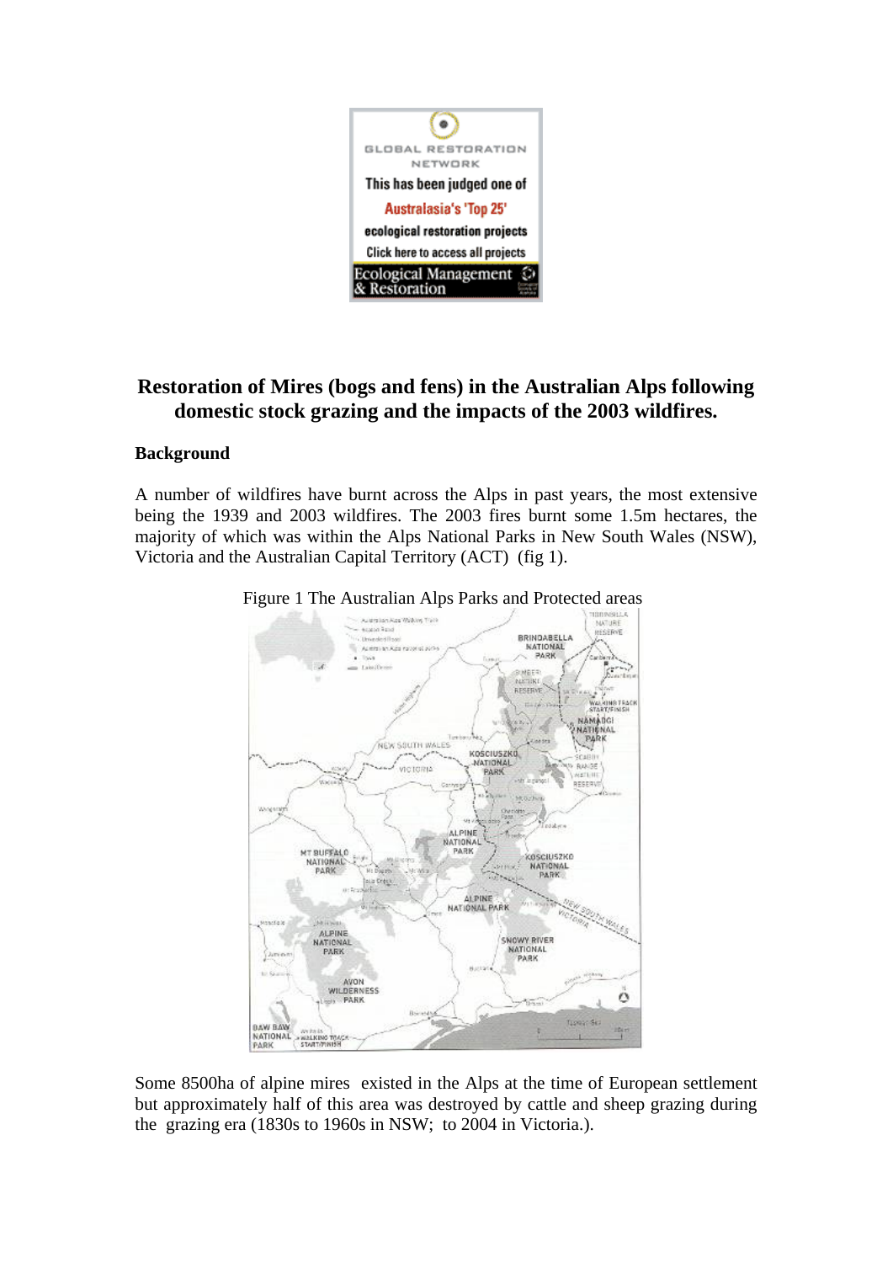

# **Restoration of Mires (bogs and fens) in the Australian Alps following domestic stock grazing and the impacts of the 2003 wildfires.**

# **Background**

A number of wildfires have burnt across the Alps in past years, the most extensive being the 1939 and 2003 wildfires. The 2003 fires burnt some 1.5m hectares, the majority of which was within the Alps National Parks in New South Wales (NSW), Victoria and the Australian Capital Territory (ACT) (fig 1).



Figure 1 The Australian Alps Parks and Protected areas

Some 8500ha of alpine mires existed in the Alps at the time of European settlement but approximately half of this area was destroyed by cattle and sheep grazing during the grazing era (1830s to 1960s in NSW; to 2004 in Victoria.).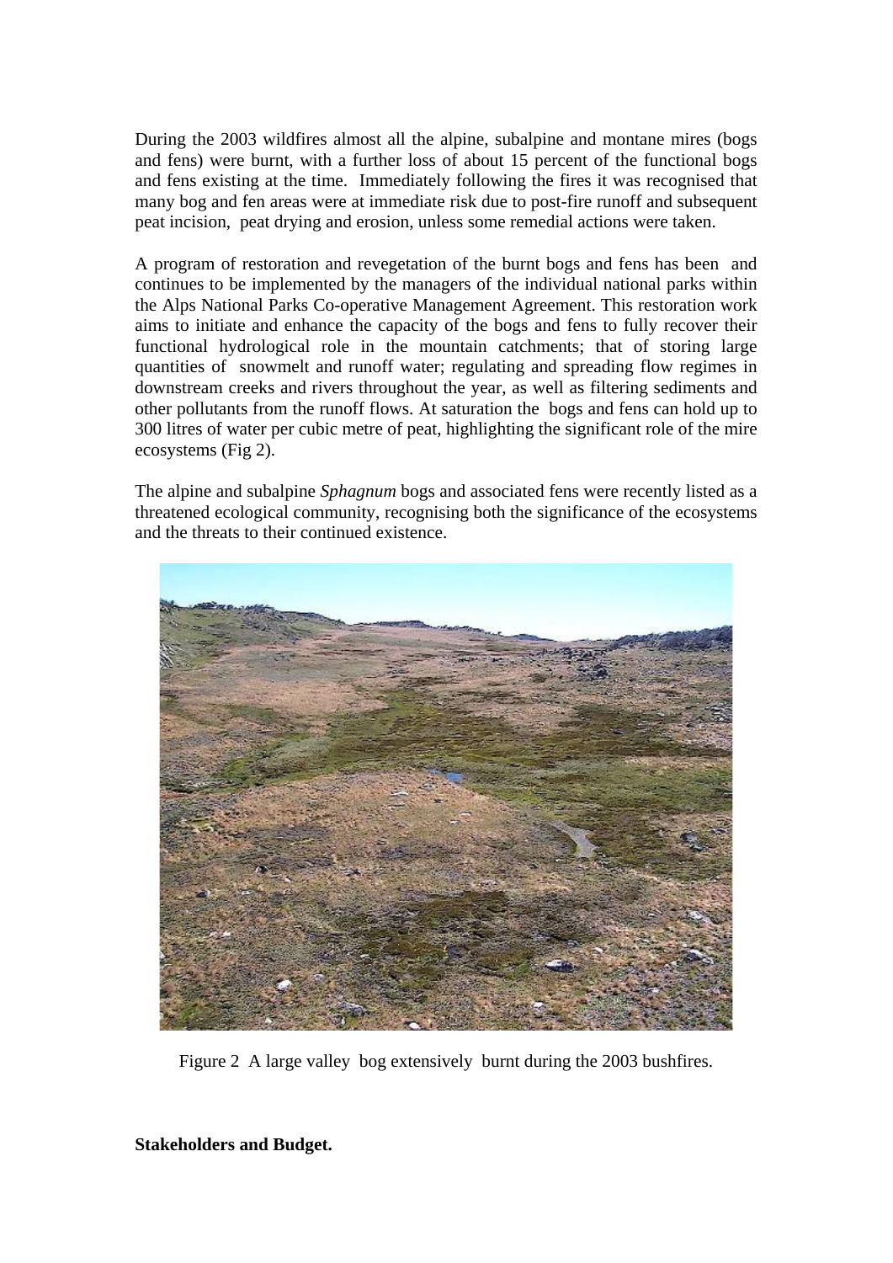During the 2003 wildfires almost all the alpine, subalpine and montane mires (bogs and fens) were burnt, with a further loss of about 15 percent of the functional bogs and fens existing at the time. Immediately following the fires it was recognised that many bog and fen areas were at immediate risk due to post-fire runoff and subsequent peat incision, peat drying and erosion, unless some remedial actions were taken.

A program of restoration and revegetation of the burnt bogs and fens has been and continues to be implemented by the managers of the individual national parks within the Alps National Parks Co-operative Management Agreement. This restoration work aims to initiate and enhance the capacity of the bogs and fens to fully recover their functional hydrological role in the mountain catchments; that of storing large quantities of snowmelt and runoff water; regulating and spreading flow regimes in downstream creeks and rivers throughout the year, as well as filtering sediments and other pollutants from the runoff flows. At saturation the bogs and fens can hold up to 300 litres of water per cubic metre of peat, highlighting the significant role of the mire ecosystems (Fig 2).

The alpine and subalpine *Sphagnum* bogs and associated fens were recently listed as a threatened ecological community, recognising both the significance of the ecosystems and the threats to their continued existence.



Figure 2 A large valley bog extensively burnt during the 2003 bushfires.

**Stakeholders and Budget.**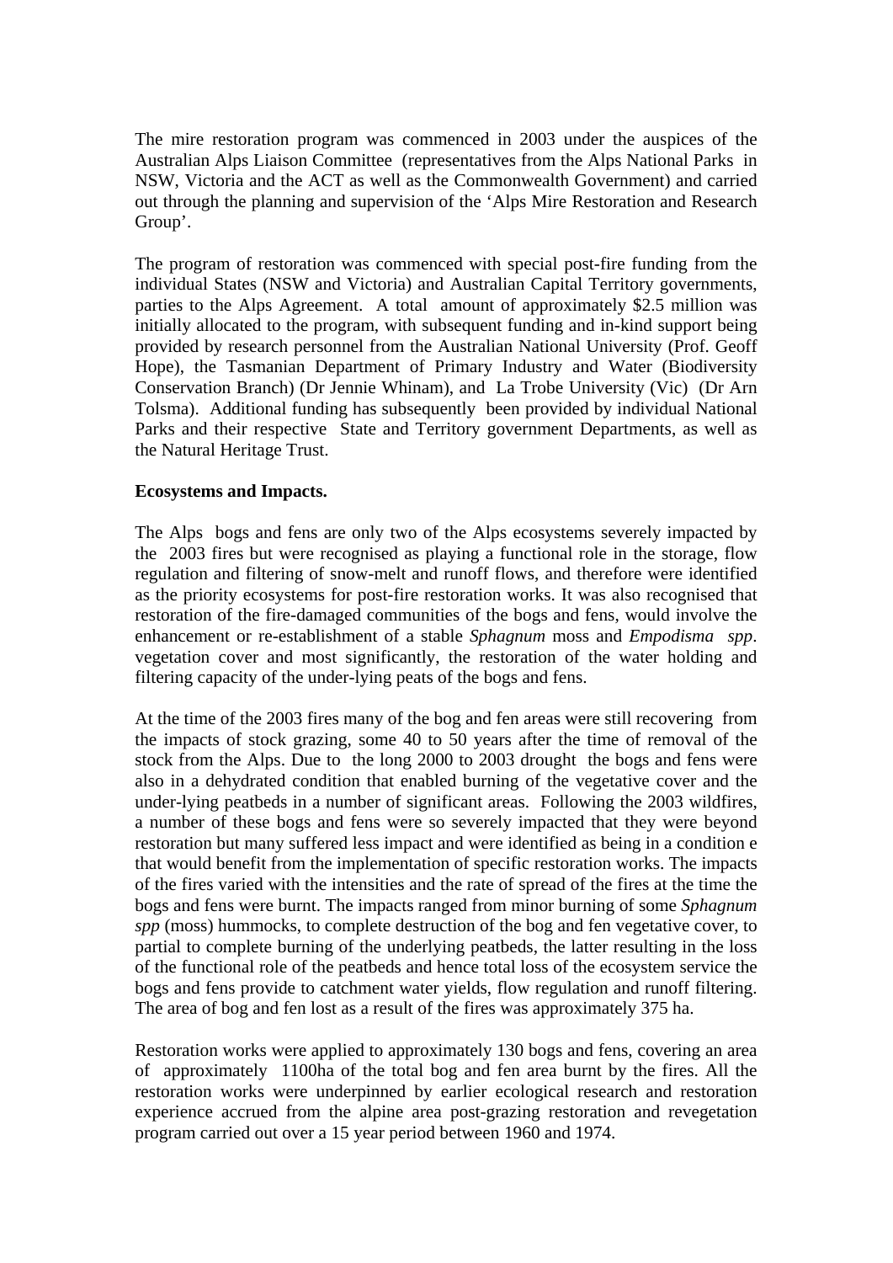The mire restoration program was commenced in 2003 under the auspices of the Australian Alps Liaison Committee (representatives from the Alps National Parks in NSW, Victoria and the ACT as well as the Commonwealth Government) and carried out through the planning and supervision of the 'Alps Mire Restoration and Research Group'.

The program of restoration was commenced with special post-fire funding from the individual States (NSW and Victoria) and Australian Capital Territory governments, parties to the Alps Agreement. A total amount of approximately \$2.5 million was initially allocated to the program, with subsequent funding and in-kind support being provided by research personnel from the Australian National University (Prof. Geoff Hope), the Tasmanian Department of Primary Industry and Water (Biodiversity Conservation Branch) (Dr Jennie Whinam), and La Trobe University (Vic) (Dr Arn Tolsma). Additional funding has subsequently been provided by individual National Parks and their respective State and Territory government Departments, as well as the Natural Heritage Trust.

### **Ecosystems and Impacts.**

The Alps bogs and fens are only two of the Alps ecosystems severely impacted by the 2003 fires but were recognised as playing a functional role in the storage, flow regulation and filtering of snow-melt and runoff flows, and therefore were identified as the priority ecosystems for post-fire restoration works. It was also recognised that restoration of the fire-damaged communities of the bogs and fens, would involve the enhancement or re-establishment of a stable *Sphagnum* moss and *Empodisma spp*. vegetation cover and most significantly, the restoration of the water holding and filtering capacity of the under-lying peats of the bogs and fens.

At the time of the 2003 fires many of the bog and fen areas were still recovering from the impacts of stock grazing, some 40 to 50 years after the time of removal of the stock from the Alps. Due to the long 2000 to 2003 drought the bogs and fens were also in a dehydrated condition that enabled burning of the vegetative cover and the under-lying peatbeds in a number of significant areas. Following the 2003 wildfires, a number of these bogs and fens were so severely impacted that they were beyond restoration but many suffered less impact and were identified as being in a condition e that would benefit from the implementation of specific restoration works. The impacts of the fires varied with the intensities and the rate of spread of the fires at the time the bogs and fens were burnt. The impacts ranged from minor burning of some *Sphagnum spp* (moss) hummocks, to complete destruction of the bog and fen vegetative cover, to partial to complete burning of the underlying peatbeds, the latter resulting in the loss of the functional role of the peatbeds and hence total loss of the ecosystem service the bogs and fens provide to catchment water yields, flow regulation and runoff filtering. The area of bog and fen lost as a result of the fires was approximately 375 ha.

Restoration works were applied to approximately 130 bogs and fens, covering an area of approximately 1100ha of the total bog and fen area burnt by the fires. All the restoration works were underpinned by earlier ecological research and restoration experience accrued from the alpine area post-grazing restoration and revegetation program carried out over a 15 year period between 1960 and 1974.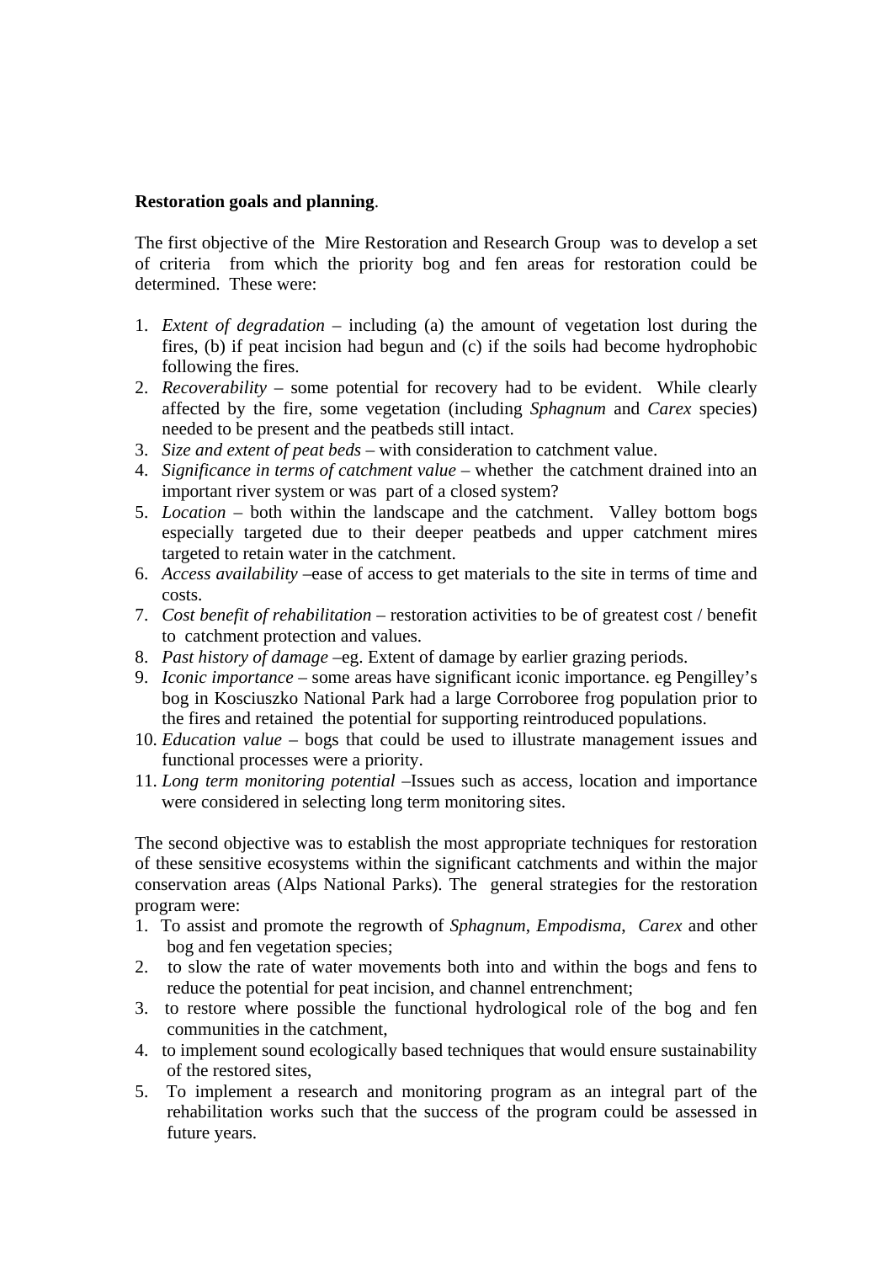### **Restoration goals and planning**.

The first objective of the Mire Restoration and Research Group was to develop a set of criteria from which the priority bog and fen areas for restoration could be determined. These were:

- 1. *Extent of degradation* including (a) the amount of vegetation lost during the fires, (b) if peat incision had begun and (c) if the soils had become hydrophobic following the fires.
- 2. *Recoverability* some potential for recovery had to be evident. While clearly affected by the fire, some vegetation (including *Sphagnum* and *Carex* species) needed to be present and the peatbeds still intact.
- 3. *Size and extent of peat beds* with consideration to catchment value.
- 4. *Significance in terms of catchment value* whether the catchment drained into an important river system or was part of a closed system?
- 5. *Location* both within the landscape and the catchment. Valley bottom bogs especially targeted due to their deeper peatbeds and upper catchment mires targeted to retain water in the catchment.
- 6. *Access availability* –ease of access to get materials to the site in terms of time and costs.
- 7. *Cost benefit of rehabilitation* restoration activities to be of greatest cost / benefit to catchment protection and values.
- 8. *Past history of damage* –eg. Extent of damage by earlier grazing periods.
- 9. *Iconic importance* some areas have significant iconic importance. eg Pengilley's bog in Kosciuszko National Park had a large Corroboree frog population prior to the fires and retained the potential for supporting reintroduced populations.
- 10. *Education value*  bogs that could be used to illustrate management issues and functional processes were a priority.
- 11. *Long term monitoring potential* –Issues such as access, location and importance were considered in selecting long term monitoring sites.

The second objective was to establish the most appropriate techniques for restoration of these sensitive ecosystems within the significant catchments and within the major conservation areas (Alps National Parks). The general strategies for the restoration program were:

- 1. To assist and promote the regrowth of *Sphagnum*, *Empodisma*, *Carex* and other bog and fen vegetation species;
- 2. to slow the rate of water movements both into and within the bogs and fens to reduce the potential for peat incision, and channel entrenchment;
- 3. to restore where possible the functional hydrological role of the bog and fen communities in the catchment,
- 4. to implement sound ecologically based techniques that would ensure sustainability of the restored sites,
- 5. To implement a research and monitoring program as an integral part of the rehabilitation works such that the success of the program could be assessed in future years.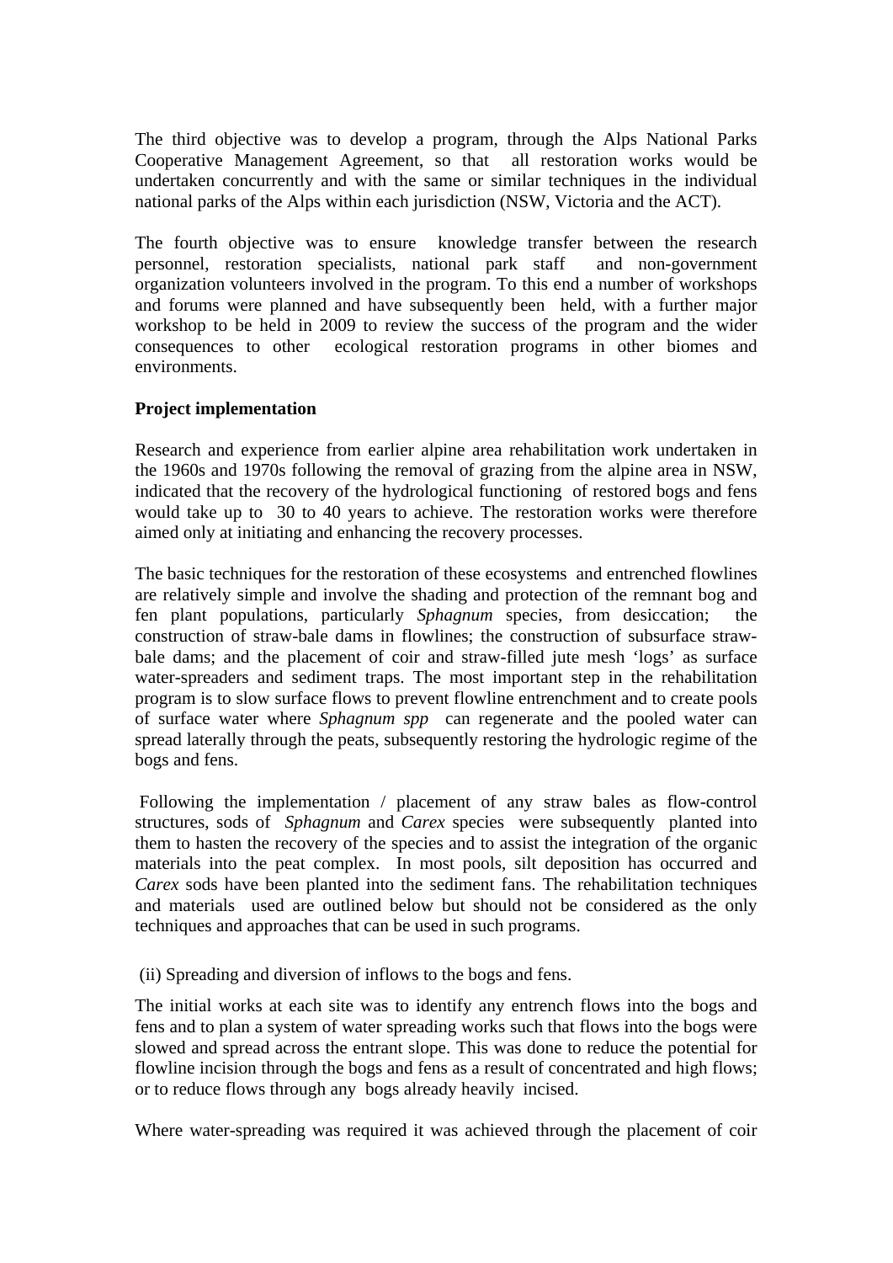The third objective was to develop a program, through the Alps National Parks Cooperative Management Agreement, so that all restoration works would be undertaken concurrently and with the same or similar techniques in the individual national parks of the Alps within each jurisdiction (NSW, Victoria and the ACT).

The fourth objective was to ensure knowledge transfer between the research personnel, restoration specialists, national park staff and non-government organization volunteers involved in the program. To this end a number of workshops and forums were planned and have subsequently been held, with a further major workshop to be held in 2009 to review the success of the program and the wider consequences to other ecological restoration programs in other biomes and environments.

## **Project implementation**

Research and experience from earlier alpine area rehabilitation work undertaken in the 1960s and 1970s following the removal of grazing from the alpine area in NSW, indicated that the recovery of the hydrological functioning of restored bogs and fens would take up to 30 to 40 years to achieve. The restoration works were therefore aimed only at initiating and enhancing the recovery processes.

The basic techniques for the restoration of these ecosystems and entrenched flowlines are relatively simple and involve the shading and protection of the remnant bog and fen plant populations, particularly *Sphagnum* species, from desiccation; the construction of straw-bale dams in flowlines; the construction of subsurface strawbale dams; and the placement of coir and straw-filled jute mesh 'logs' as surface water-spreaders and sediment traps. The most important step in the rehabilitation program is to slow surface flows to prevent flowline entrenchment and to create pools of surface water where *Sphagnum spp* can regenerate and the pooled water can spread laterally through the peats, subsequently restoring the hydrologic regime of the bogs and fens.

 Following the implementation / placement of any straw bales as flow-control structures, sods of *Sphagnum* and *Carex* species were subsequently planted into them to hasten the recovery of the species and to assist the integration of the organic materials into the peat complex. In most pools, silt deposition has occurred and *Carex* sods have been planted into the sediment fans. The rehabilitation techniques and materials used are outlined below but should not be considered as the only techniques and approaches that can be used in such programs.

(ii) Spreading and diversion of inflows to the bogs and fens.

The initial works at each site was to identify any entrench flows into the bogs and fens and to plan a system of water spreading works such that flows into the bogs were slowed and spread across the entrant slope. This was done to reduce the potential for flowline incision through the bogs and fens as a result of concentrated and high flows; or to reduce flows through any bogs already heavily incised.

Where water-spreading was required it was achieved through the placement of coir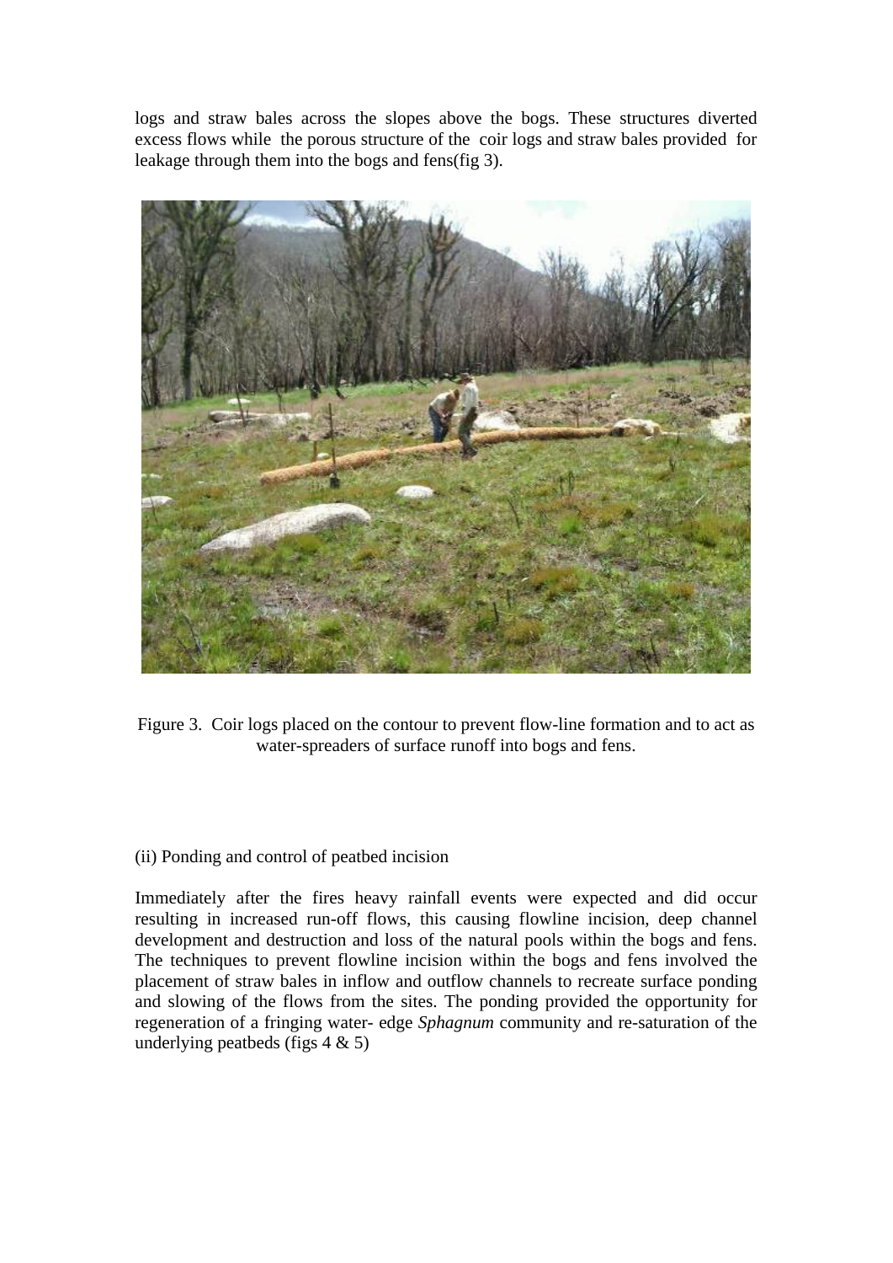logs and straw bales across the slopes above the bogs. These structures diverted excess flows while the porous structure of the coir logs and straw bales provided for leakage through them into the bogs and fens(fig 3).



Figure 3. Coir logs placed on the contour to prevent flow-line formation and to act as water-spreaders of surface runoff into bogs and fens.

### (ii) Ponding and control of peatbed incision

Immediately after the fires heavy rainfall events were expected and did occur resulting in increased run-off flows, this causing flowline incision, deep channel development and destruction and loss of the natural pools within the bogs and fens. The techniques to prevent flowline incision within the bogs and fens involved the placement of straw bales in inflow and outflow channels to recreate surface ponding and slowing of the flows from the sites. The ponding provided the opportunity for regeneration of a fringing water- edge *Sphagnum* community and re-saturation of the underlying peatbeds (figs  $4 \& 5$ )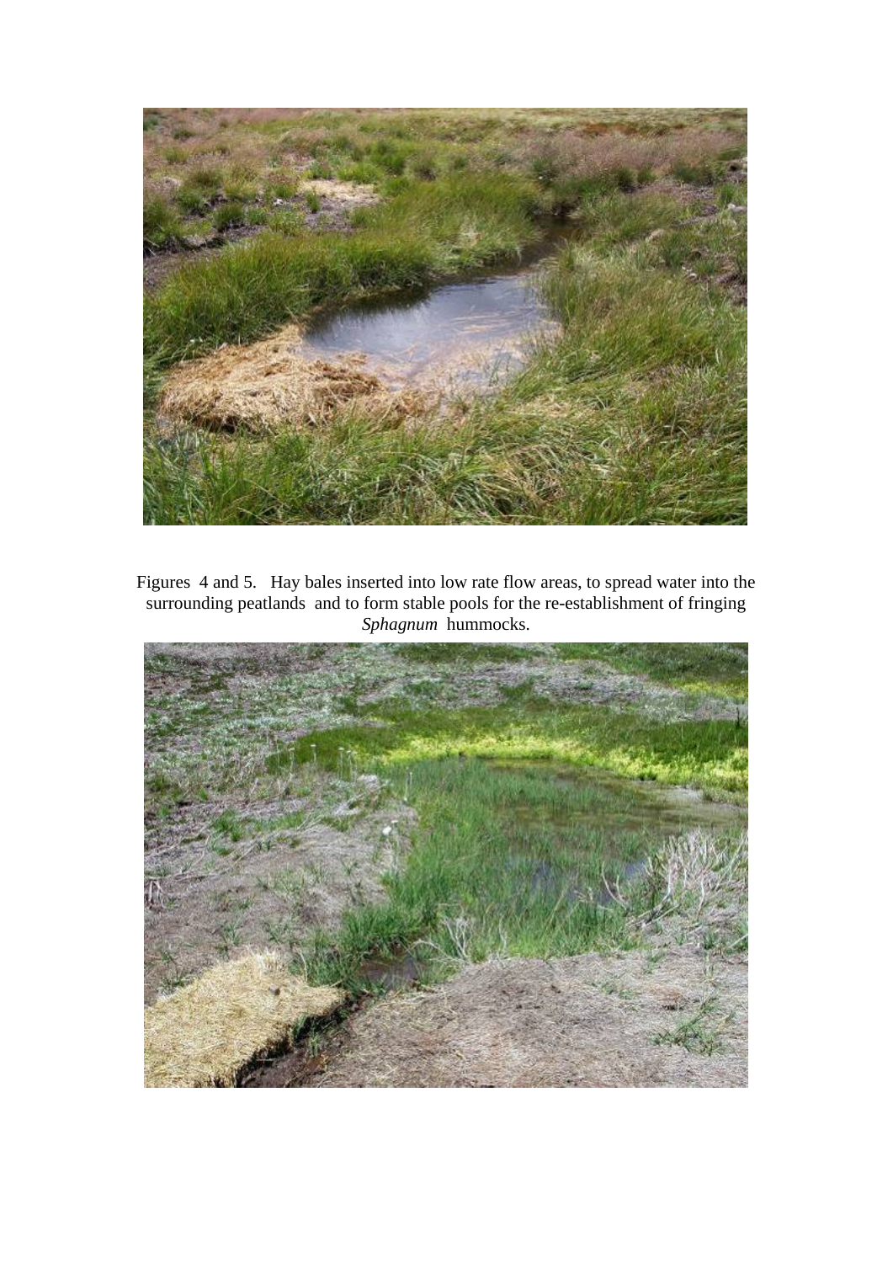

Figures 4 and 5. Hay bales inserted into low rate flow areas, to spread water into the surrounding peatlands and to form stable pools for the re-establishment of fringing *Sphagnum* hummocks.

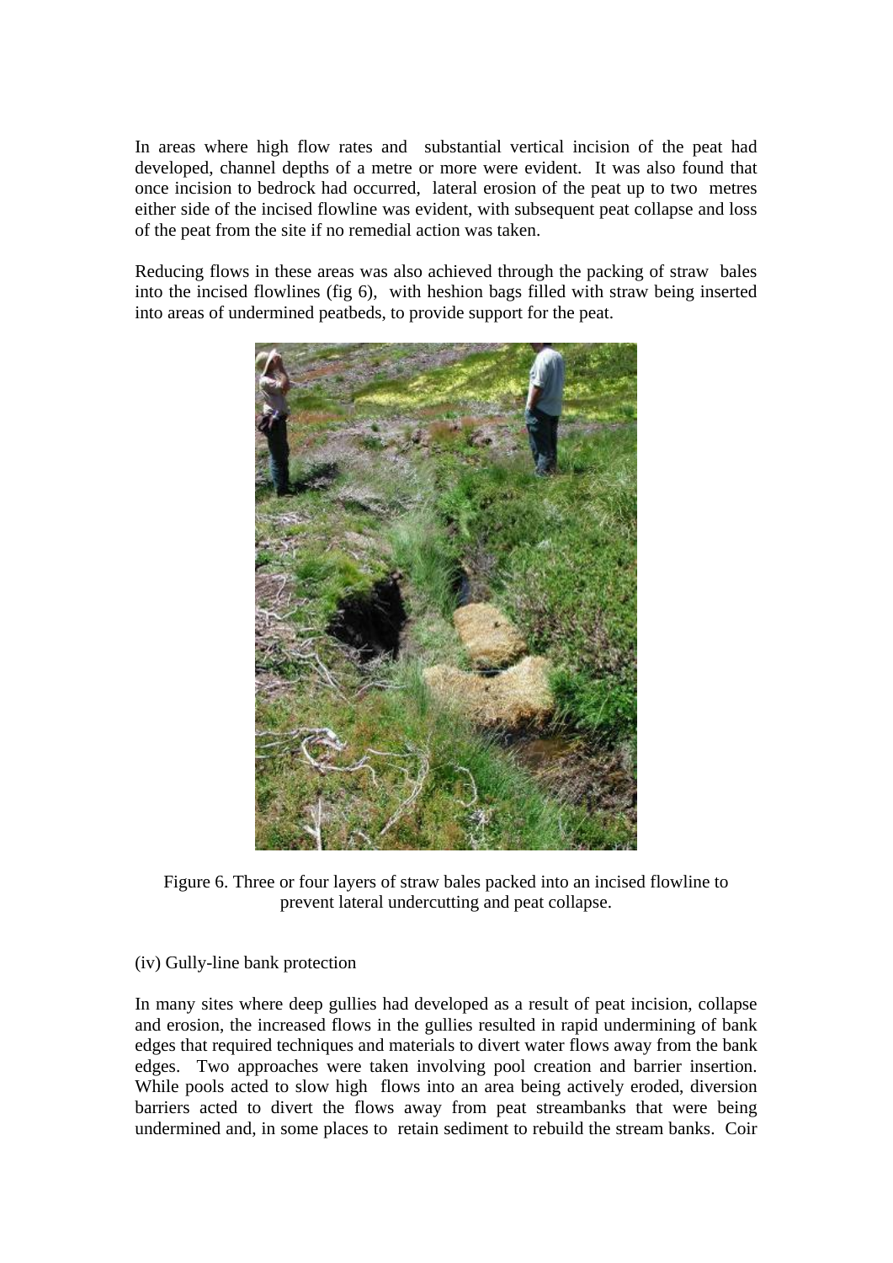In areas where high flow rates and substantial vertical incision of the peat had developed, channel depths of a metre or more were evident. It was also found that once incision to bedrock had occurred, lateral erosion of the peat up to two metres either side of the incised flowline was evident, with subsequent peat collapse and loss of the peat from the site if no remedial action was taken.

Reducing flows in these areas was also achieved through the packing of straw bales into the incised flowlines (fig 6), with heshion bags filled with straw being inserted into areas of undermined peatbeds, to provide support for the peat.



Figure 6. Three or four layers of straw bales packed into an incised flowline to prevent lateral undercutting and peat collapse.

(iv) Gully-line bank protection

In many sites where deep gullies had developed as a result of peat incision, collapse and erosion, the increased flows in the gullies resulted in rapid undermining of bank edges that required techniques and materials to divert water flows away from the bank edges. Two approaches were taken involving pool creation and barrier insertion. While pools acted to slow high flows into an area being actively eroded, diversion barriers acted to divert the flows away from peat streambanks that were being undermined and, in some places to retain sediment to rebuild the stream banks. Coir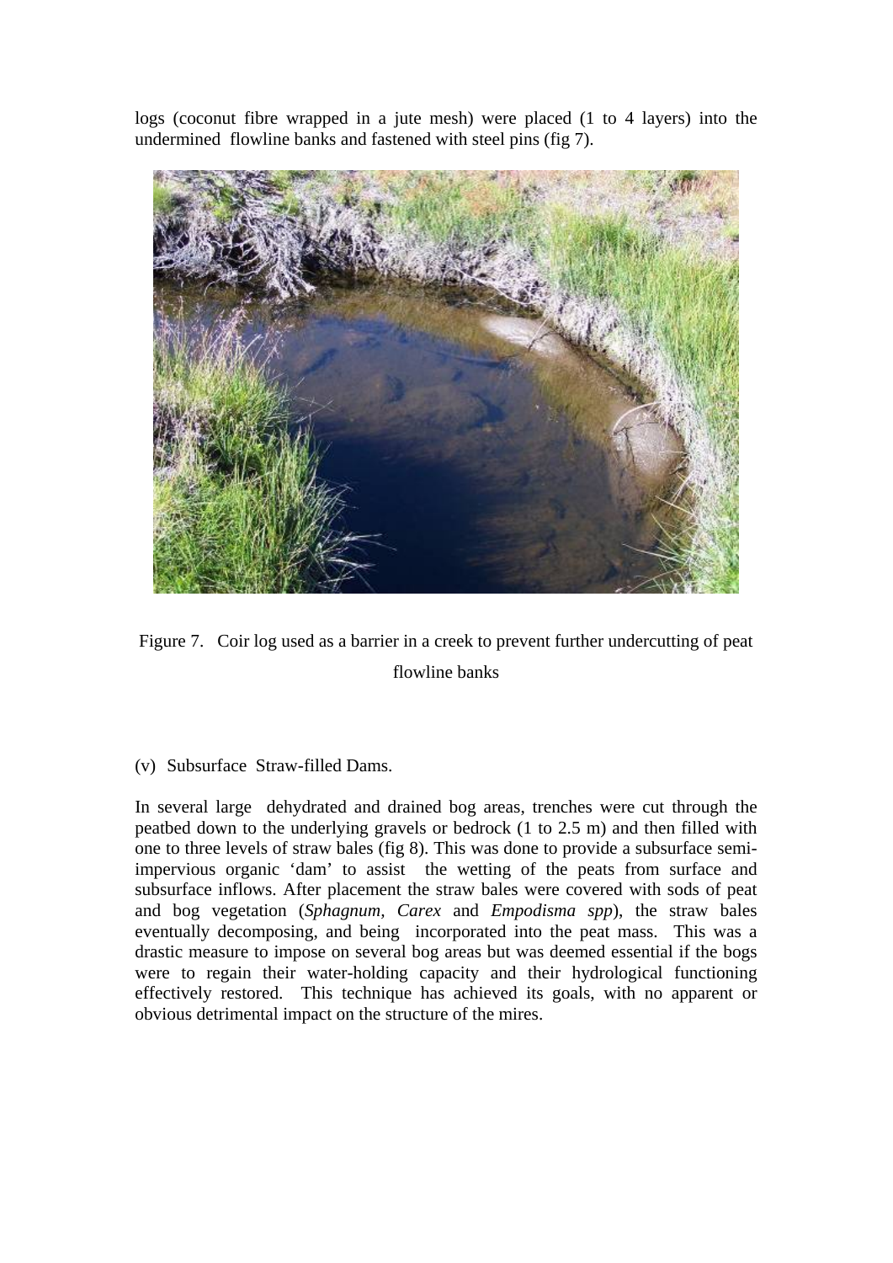logs (coconut fibre wrapped in a jute mesh) were placed (1 to 4 layers) into the undermined flowline banks and fastened with steel pins (fig 7).



Figure 7. Coir log used as a barrier in a creek to prevent further undercutting of peat flowline banks

# (v) Subsurface Straw-filled Dams.

In several large dehydrated and drained bog areas, trenches were cut through the peatbed down to the underlying gravels or bedrock (1 to 2.5 m) and then filled with one to three levels of straw bales (fig 8). This was done to provide a subsurface semiimpervious organic 'dam' to assist the wetting of the peats from surface and subsurface inflows. After placement the straw bales were covered with sods of peat and bog vegetation (*Sphagnum, Carex* and *Empodisma spp*), the straw bales eventually decomposing, and being incorporated into the peat mass. This was a drastic measure to impose on several bog areas but was deemed essential if the bogs were to regain their water-holding capacity and their hydrological functioning effectively restored. This technique has achieved its goals, with no apparent or obvious detrimental impact on the structure of the mires.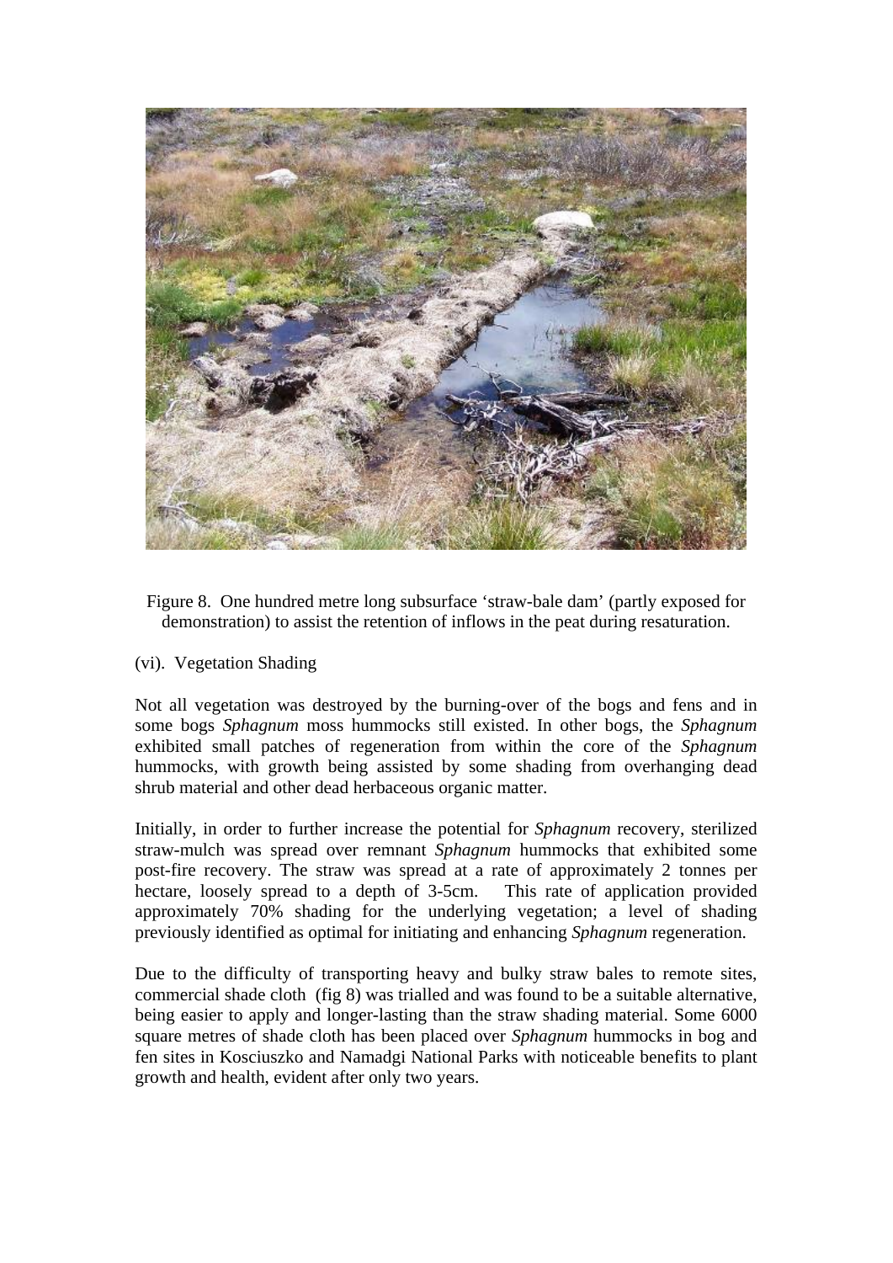

Figure 8. One hundred metre long subsurface 'straw-bale dam' (partly exposed for demonstration) to assist the retention of inflows in the peat during resaturation.

### (vi). Vegetation Shading

Not all vegetation was destroyed by the burning-over of the bogs and fens and in some bogs *Sphagnum* moss hummocks still existed. In other bogs, the *Sphagnum* exhibited small patches of regeneration from within the core of the *Sphagnum*  hummocks, with growth being assisted by some shading from overhanging dead shrub material and other dead herbaceous organic matter.

Initially, in order to further increase the potential for *Sphagnum* recovery, sterilized straw-mulch was spread over remnant *Sphagnum* hummocks that exhibited some post-fire recovery. The straw was spread at a rate of approximately 2 tonnes per hectare, loosely spread to a depth of 3-5cm. This rate of application provided approximately 70% shading for the underlying vegetation; a level of shading previously identified as optimal for initiating and enhancing *Sphagnum* regeneration.

Due to the difficulty of transporting heavy and bulky straw bales to remote sites, commercial shade cloth (fig 8) was trialled and was found to be a suitable alternative, being easier to apply and longer-lasting than the straw shading material. Some 6000 square metres of shade cloth has been placed over *Sphagnum* hummocks in bog and fen sites in Kosciuszko and Namadgi National Parks with noticeable benefits to plant growth and health, evident after only two years.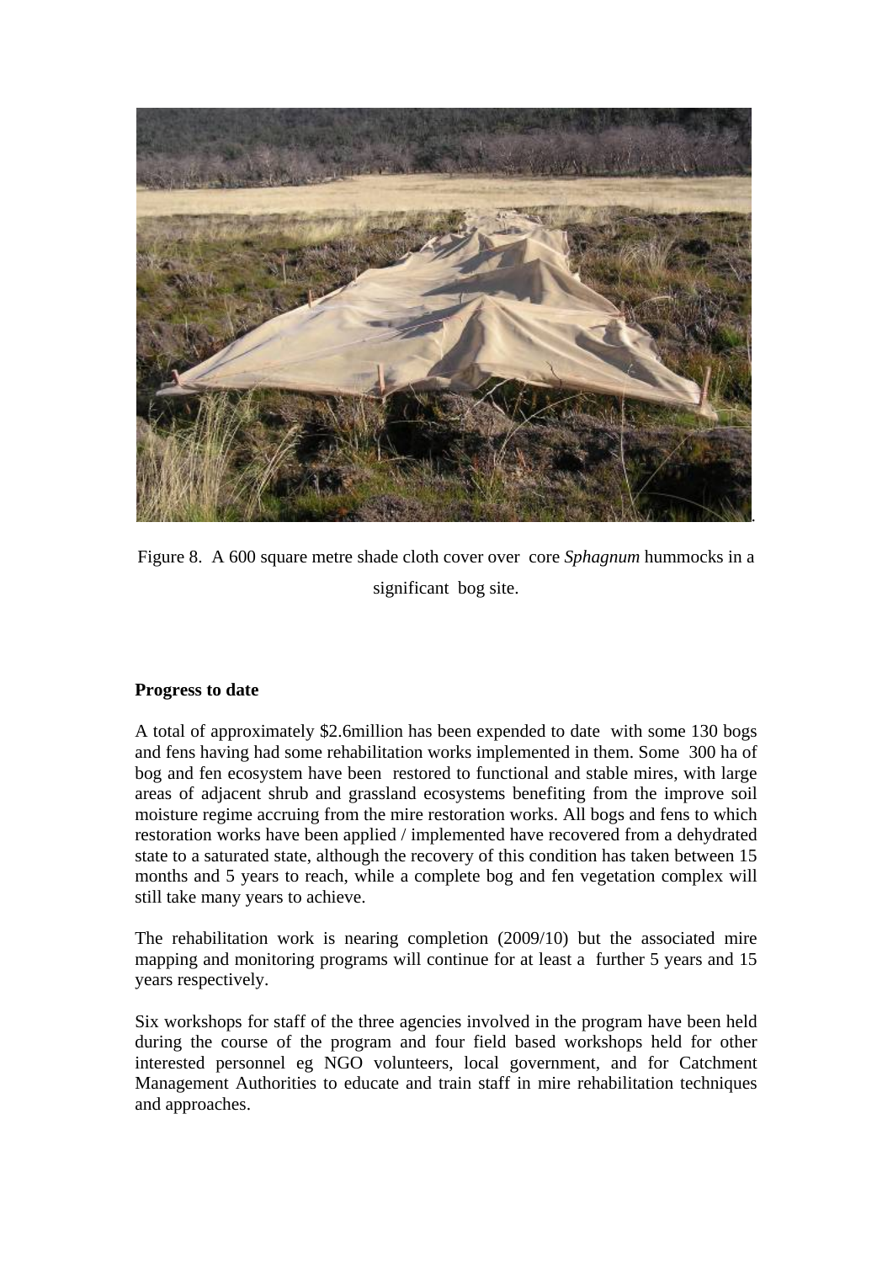

Figure 8. A 600 square metre shade cloth cover over core *Sphagnum* hummocks in a significant bog site.

# **Progress to date**

A total of approximately \$2.6million has been expended to date with some 130 bogs and fens having had some rehabilitation works implemented in them. Some 300 ha of bog and fen ecosystem have been restored to functional and stable mires, with large areas of adjacent shrub and grassland ecosystems benefiting from the improve soil moisture regime accruing from the mire restoration works. All bogs and fens to which restoration works have been applied / implemented have recovered from a dehydrated state to a saturated state, although the recovery of this condition has taken between 15 months and 5 years to reach, while a complete bog and fen vegetation complex will still take many years to achieve.

The rehabilitation work is nearing completion (2009/10) but the associated mire mapping and monitoring programs will continue for at least a further 5 years and 15 years respectively.

Six workshops for staff of the three agencies involved in the program have been held during the course of the program and four field based workshops held for other interested personnel eg NGO volunteers, local government, and for Catchment Management Authorities to educate and train staff in mire rehabilitation techniques and approaches.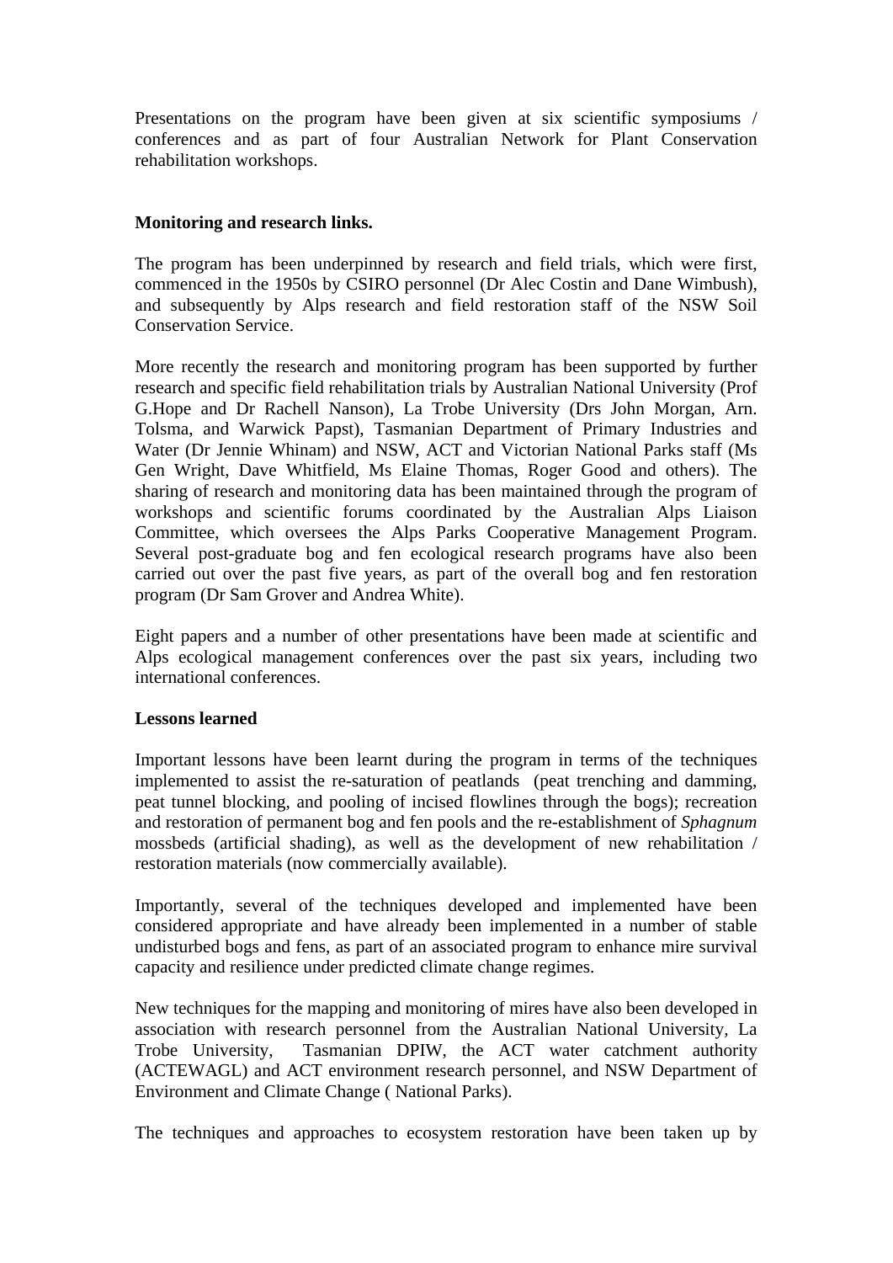Presentations on the program have been given at six scientific symposiums / conferences and as part of four Australian Network for Plant Conservation rehabilitation workshops.

## **Monitoring and research links.**

The program has been underpinned by research and field trials, which were first, commenced in the 1950s by CSIRO personnel (Dr Alec Costin and Dane Wimbush), and subsequently by Alps research and field restoration staff of the NSW Soil Conservation Service.

More recently the research and monitoring program has been supported by further research and specific field rehabilitation trials by Australian National University (Prof G.Hope and Dr Rachell Nanson), La Trobe University (Drs John Morgan, Arn. Tolsma, and Warwick Papst), Tasmanian Department of Primary Industries and Water (Dr Jennie Whinam) and NSW, ACT and Victorian National Parks staff (Ms Gen Wright, Dave Whitfield, Ms Elaine Thomas, Roger Good and others). The sharing of research and monitoring data has been maintained through the program of workshops and scientific forums coordinated by the Australian Alps Liaison Committee, which oversees the Alps Parks Cooperative Management Program. Several post-graduate bog and fen ecological research programs have also been carried out over the past five years, as part of the overall bog and fen restoration program (Dr Sam Grover and Andrea White).

Eight papers and a number of other presentations have been made at scientific and Alps ecological management conferences over the past six years, including two international conferences.

### **Lessons learned**

Important lessons have been learnt during the program in terms of the techniques implemented to assist the re-saturation of peatlands (peat trenching and damming, peat tunnel blocking, and pooling of incised flowlines through the bogs); recreation and restoration of permanent bog and fen pools and the re-establishment of *Sphagnum* mossbeds (artificial shading), as well as the development of new rehabilitation / restoration materials (now commercially available).

Importantly, several of the techniques developed and implemented have been considered appropriate and have already been implemented in a number of stable undisturbed bogs and fens, as part of an associated program to enhance mire survival capacity and resilience under predicted climate change regimes.

New techniques for the mapping and monitoring of mires have also been developed in association with research personnel from the Australian National University, La Trobe University, Tasmanian DPIW, the ACT water catchment authority (ACTEWAGL) and ACT environment research personnel, and NSW Department of Environment and Climate Change ( National Parks).

The techniques and approaches to ecosystem restoration have been taken up by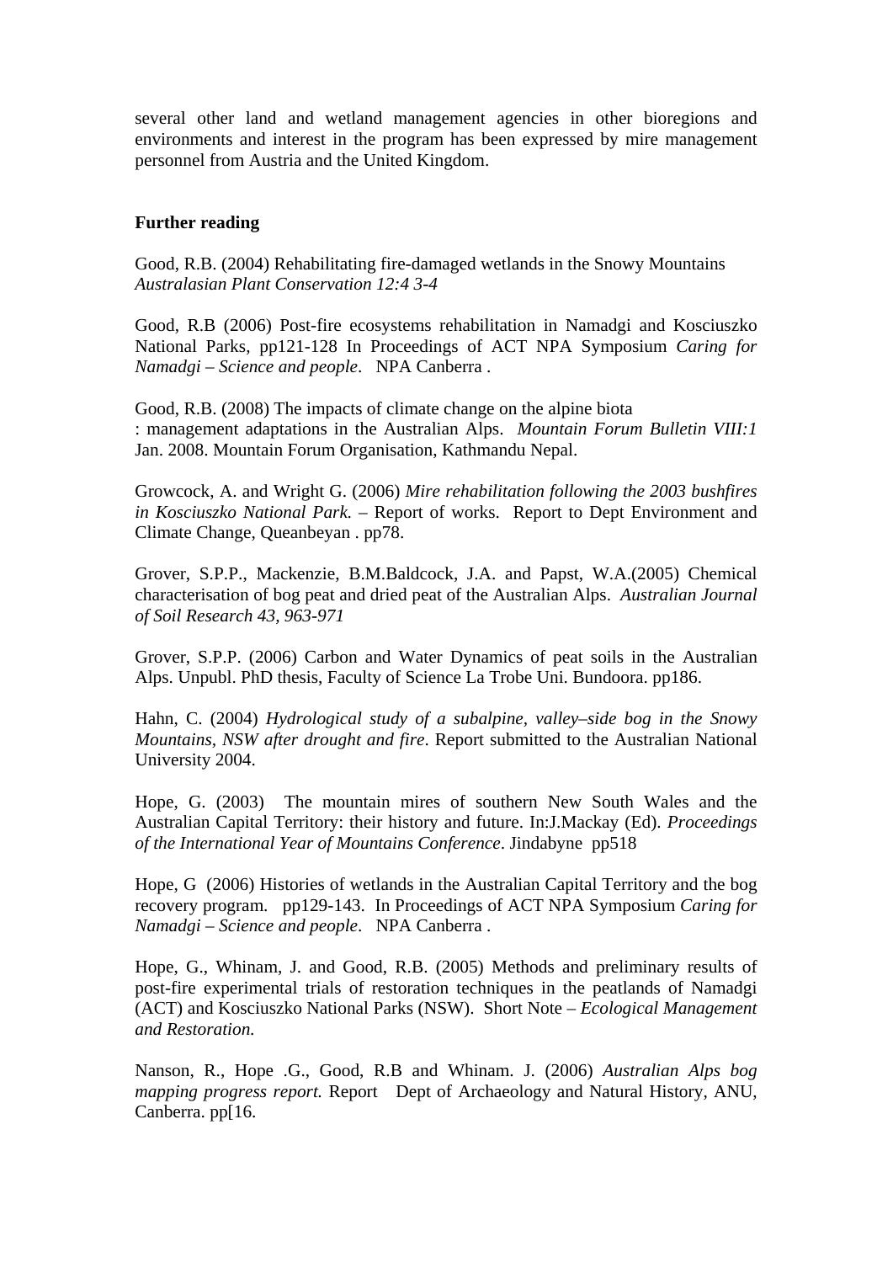several other land and wetland management agencies in other bioregions and environments and interest in the program has been expressed by mire management personnel from Austria and the United Kingdom.

#### **Further reading**

Good, R.B. (2004) Rehabilitating fire-damaged wetlands in the Snowy Mountains *Australasian Plant Conservation 12:4 3-4* 

Good, R.B (2006) Post-fire ecosystems rehabilitation in Namadgi and Kosciuszko National Parks, pp121-128 In Proceedings of ACT NPA Symposium *Caring for Namadgi – Science and people*. NPA Canberra .

Good, R.B. (2008) The impacts of climate change on the alpine biota : management adaptations in the Australian Alps. *Mountain Forum Bulletin VIII:1*  Jan. 2008. Mountain Forum Organisation, Kathmandu Nepal.

Growcock, A. and Wright G. (2006) *Mire rehabilitation following the 2003 bushfires in Kosciuszko National Park.* – Report of works. Report to Dept Environment and Climate Change, Queanbeyan . pp78.

Grover, S.P.P., Mackenzie, B.M.Baldcock, J.A. and Papst, W.A.(2005) Chemical characterisation of bog peat and dried peat of the Australian Alps. *Australian Journal of Soil Research 43, 963-971* 

Grover, S.P.P. (2006) Carbon and Water Dynamics of peat soils in the Australian Alps. Unpubl. PhD thesis, Faculty of Science La Trobe Uni. Bundoora. pp186.

Hahn, C. (2004) *Hydrological study of a subalpine, valley–side bog in the Snowy Mountains, NSW after drought and fire*. Report submitted to the Australian National University 2004.

Hope, G. (2003) The mountain mires of southern New South Wales and the Australian Capital Territory: their history and future. In:J.Mackay (Ed). *Proceedings of the International Year of Mountains Conference*. Jindabyne pp518

Hope, G (2006) Histories of wetlands in the Australian Capital Territory and the bog recovery program. pp129-143. In Proceedings of ACT NPA Symposium *Caring for Namadgi – Science and people*. NPA Canberra .

Hope, G., Whinam, J. and Good, R.B. (2005) Methods and preliminary results of post-fire experimental trials of restoration techniques in the peatlands of Namadgi (ACT) and Kosciuszko National Parks (NSW). Short Note – *Ecological Management and Restoration.* 

Nanson, R., Hope .G., Good, R.B and Whinam. J. (2006) *Australian Alps bog mapping progress report.* Report Dept of Archaeology and Natural History, ANU, Canberra. pp[16.